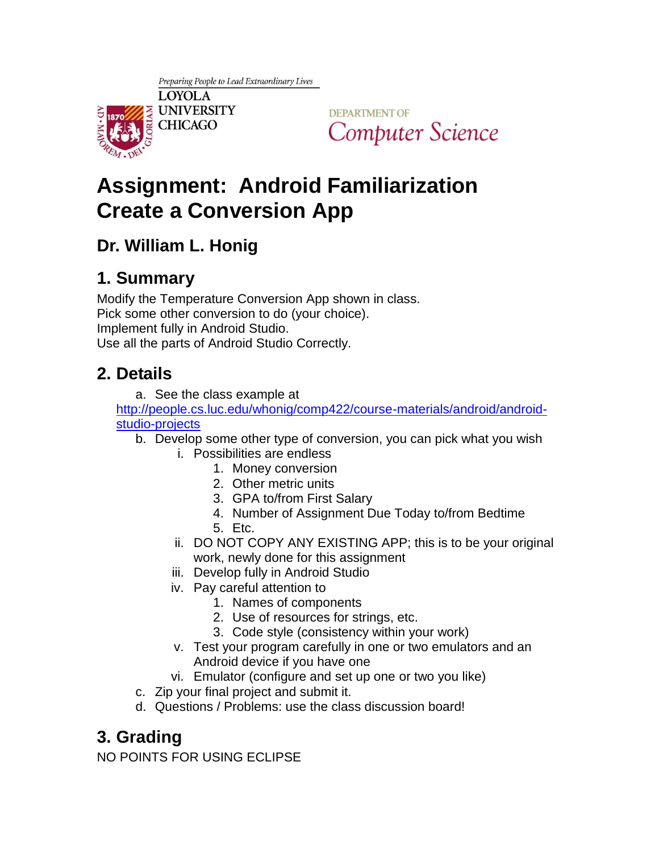

**DEPARTMENT OF** Computer Science

# **Assignment: Android Familiarization Create a Conversion App**

#### **Dr. William L. Honig**

### **1. Summary**

Modify the Temperature Conversion App shown in class. Pick some other conversion to do (your choice). Implement fully in Android Studio. Use all the parts of Android Studio Correctly.

#### **2. Details**

a. See the class example at

[http://people.cs.luc.edu/whonig/comp422/course-materials/android/android](http://people.cs.luc.edu/whonig/comp422/course-materials/android/android-studio-projects)[studio-projects](http://people.cs.luc.edu/whonig/comp422/course-materials/android/android-studio-projects)

- b. Develop some other type of conversion, you can pick what you wish
	- i. Possibilities are endless
		- 1. Money conversion
		- 2. Other metric units
		- 3. GPA to/from First Salary
		- 4. Number of Assignment Due Today to/from Bedtime
		- 5. Etc.
	- ii. DO NOT COPY ANY EXISTING APP; this is to be your original work, newly done for this assignment
	- iii. Develop fully in Android Studio
	- iv. Pay careful attention to
		- 1. Names of components
		- 2. Use of resources for strings, etc.
		- 3. Code style (consistency within your work)
	- v. Test your program carefully in one or two emulators and an Android device if you have one
	- vi. Emulator (configure and set up one or two you like)
- c. Zip your final project and submit it.
- d. Questions / Problems: use the class discussion board!

## **3. Grading**

NO POINTS FOR USING ECLIPSE